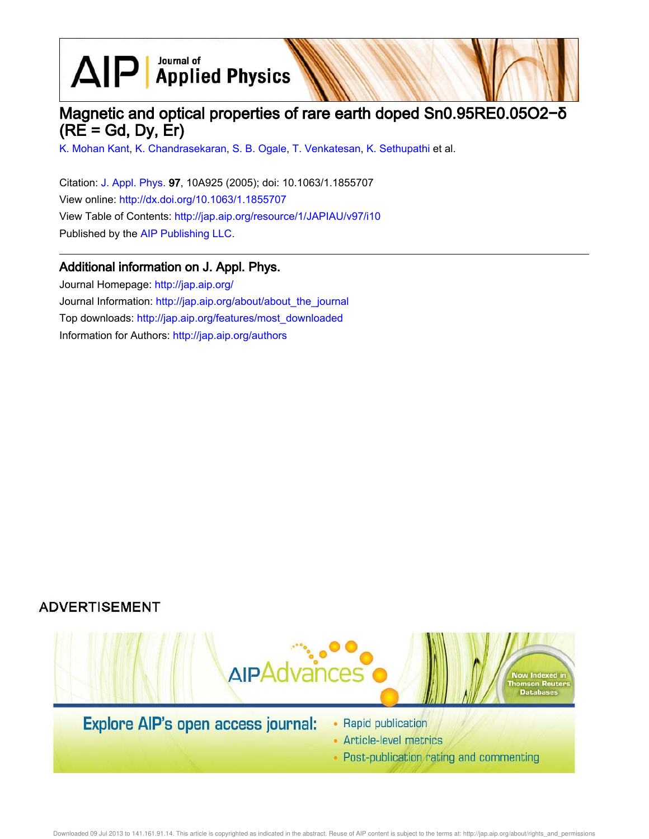$\text{AlP}$  Applied Physics

# Magnetic and optical properties of rare earth doped Sn0.95RE0.05O2−δ  $(RE = Gd, Dy, Er)$

K. Mohan Kant, K. Chandrasekaran, S. B. Ogale, T. Venkatesan, K. Sethupathi et al.

Citation: J. Appl. Phys. 97, 10A925 (2005); doi: 10.1063/1.1855707 View online: http://dx.doi.org/10.1063/1.1855707 View Table of Contents: http://jap.aip.org/resource/1/JAPIAU/v97/i10 Published by the AIP Publishing LLC.

## Additional information on J. Appl. Phys.

Journal Homepage: http://jap.aip.org/ Journal Information: http://jap.aip.org/about/about\_the\_journal Top downloads: http://jap.aip.org/features/most\_downloaded Information for Authors: http://jap.aip.org/authors

## **ADVERTISEMENT**



- Article-level metrics
- Post-publication rating and commenting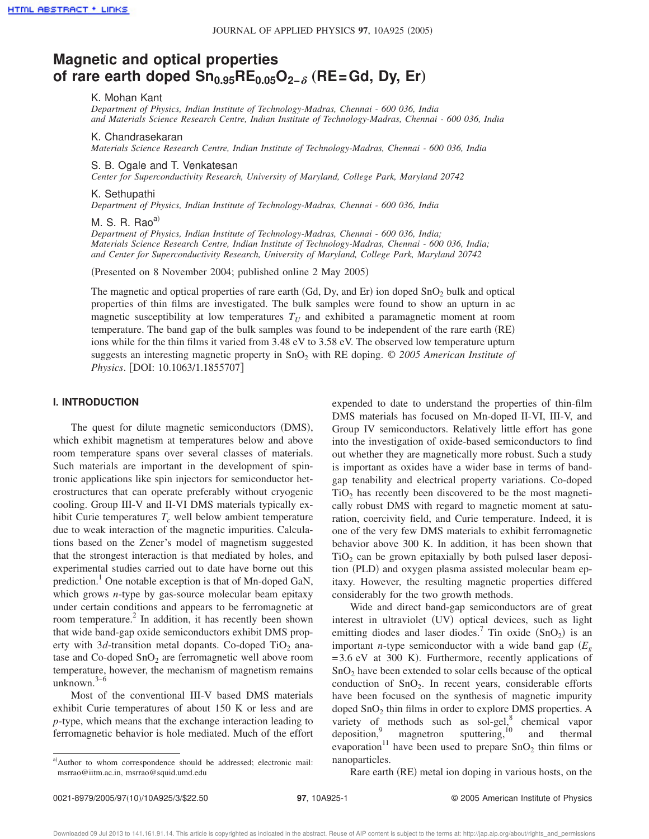# **Magnetic and optical properties of rare earth doped Sn0.95RE0.05O2−**<sup>d</sup> "**RE=Gd, Dy, Er**…

### K. Mohan Kant

*Department of Physics, Indian Institute of Technology-Madras, Chennai - 600 036, India and Materials Science Research Centre, Indian Institute of Technology-Madras, Chennai - 600 036, India*

#### K. Chandrasekaran

*Materials Science Research Centre, Indian Institute of Technology-Madras, Chennai - 600 036, India*

## S. B. Ogale and T. Venkatesan

*Center for Superconductivity Research, University of Maryland, College Park, Maryland 20742*

#### K. Sethupathi

*Department of Physics, Indian Institute of Technology-Madras, Chennai - 600 036, India*

## M. S. R. Rao $a^{(i)}$

*Department of Physics, Indian Institute of Technology-Madras, Chennai - 600 036, India; Materials Science Research Centre, Indian Institute of Technology-Madras, Chennai - 600 036, India; and Center for Superconductivity Research, University of Maryland, College Park, Maryland 20742*

(Presented on 8 November 2004; published online 2 May 2005)

The magnetic and optical properties of rare earth (Gd, Dy, and Er) ion doped  $SnO<sub>2</sub>$  bulk and optical properties of thin films are investigated. The bulk samples were found to show an upturn in ac magnetic susceptibility at low temperatures  $T_U$  and exhibited a paramagnetic moment at room temperature. The band gap of the bulk samples was found to be independent of the rare earth (RE) ions while for the thin films it varied from 3.48 eV to 3.58 eV. The observed low temperature upturn suggests an interesting magnetic property in SnO<sup>2</sup> with RE doping. © *2005 American Institute of Physics.* [DOI: 10.1063/1.1855707]

### **I. INTRODUCTION**

The quest for dilute magnetic semiconductors (DMS), which exhibit magnetism at temperatures below and above room temperature spans over several classes of materials. Such materials are important in the development of spintronic applications like spin injectors for semiconductor heterostructures that can operate preferably without cryogenic cooling. Group III-V and II-VI DMS materials typically exhibit Curie temperatures *T<sup>c</sup>* well below ambient temperature due to weak interaction of the magnetic impurities. Calculations based on the Zener's model of magnetism suggested that the strongest interaction is that mediated by holes, and experimental studies carried out to date have borne out this prediction.<sup>1</sup> One notable exception is that of Mn-doped GaN, which grows *n*-type by gas-source molecular beam epitaxy under certain conditions and appears to be ferromagnetic at room temperature.<sup>2</sup> In addition, it has recently been shown that wide band-gap oxide semiconductors exhibit DMS property with  $3d$ -transition metal dopants. Co-doped TiO<sub>2</sub> anatase and Co-doped  $SnO<sub>2</sub>$  are ferromagnetic well above room temperature, however, the mechanism of magnetism remains unknown. $3-6$ 

Most of the conventional III-V based DMS materials exhibit Curie temperatures of about 150 K or less and are *p*-type, which means that the exchange interaction leading to ferromagnetic behavior is hole mediated. Much of the effort

a)Author to whom correspondence should be addressed; electronic mail: msrrao@iitm.ac.in, msrrao@squid.umd.edu

expended to date to understand the properties of thin-film DMS materials has focused on Mn-doped II-VI, III-V, and Group IV semiconductors. Relatively little effort has gone into the investigation of oxide-based semiconductors to find out whether they are magnetically more robust. Such a study is important as oxides have a wider base in terms of bandgap tenability and electrical property variations. Co-doped  $TiO<sub>2</sub>$  has recently been discovered to be the most magnetically robust DMS with regard to magnetic moment at saturation, coercivity field, and Curie temperature. Indeed, it is one of the very few DMS materials to exhibit ferromagnetic behavior above 300 K. In addition, it has been shown that  $TiO<sub>2</sub>$  can be grown epitaxially by both pulsed laser deposition (PLD) and oxygen plasma assisted molecular beam epitaxy. However, the resulting magnetic properties differed considerably for the two growth methods.

Wide and direct band-gap semiconductors are of great interest in ultraviolet (UV) optical devices, such as light emitting diodes and laser diodes.<sup>7</sup> Tin oxide  $(SnO<sub>2</sub>)$  is an important *n*-type semiconductor with a wide band gap  $(E_g$  $=3.6$  eV at 300 K). Furthermore, recently applications of SnO<sub>2</sub> have been extended to solar cells because of the optical conduction of SnO<sub>2</sub>. In recent years, considerable efforts have been focused on the synthesis of magnetic impurity doped  $SnO<sub>2</sub>$  thin films in order to explore DMS properties. A variety of methods such as sol-gel,<sup>8</sup> chemical vapor deposition,  $\frac{9}{11}$  magnetron sputtering,<sup>10</sup> and thermal evaporation<sup>11</sup> have been used to prepare  $SnO<sub>2</sub>$  thin films or nanoparticles.

Rare earth (RE) metal ion doping in various hosts, on the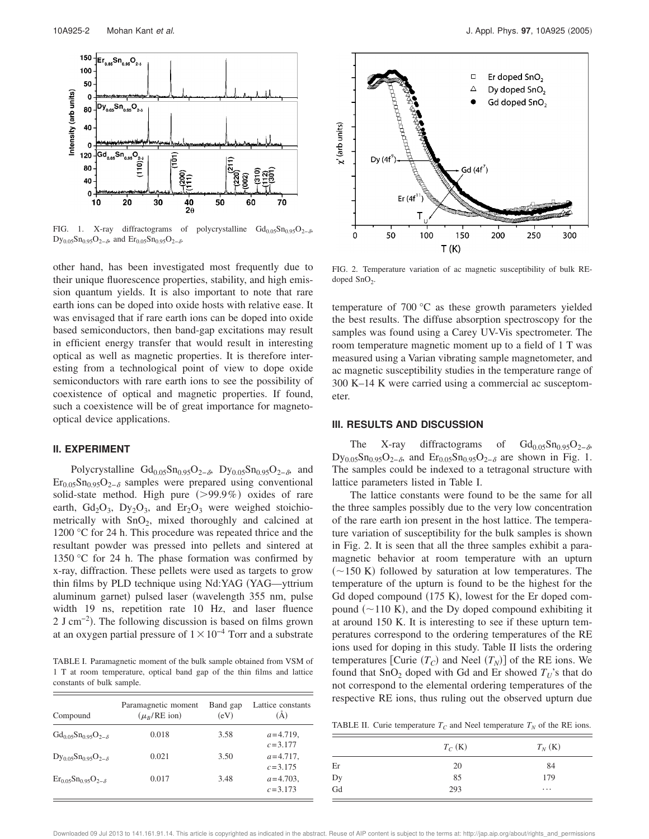

FIG. 1. X-ray diffractograms of polycrystalline  $Gd_{0.05}Sn_{0.95}O_{2-\delta}$ Dy<sub>0.05</sub>Sn<sub>0.95</sub>O<sub>2− $\delta$ </sub>, and Er<sub>0.05</sub>Sn<sub>0.95</sub>O<sub>2− $\delta$ </sub>.

other hand, has been investigated most frequently due to their unique fluorescence properties, stability, and high emission quantum yields. It is also important to note that rare earth ions can be doped into oxide hosts with relative ease. It was envisaged that if rare earth ions can be doped into oxide based semiconductors, then band-gap excitations may result in efficient energy transfer that would result in interesting optical as well as magnetic properties. It is therefore interesting from a technological point of view to dope oxide semiconductors with rare earth ions to see the possibility of coexistence of optical and magnetic properties. If found, such a coexistence will be of great importance for magnetooptical device applications.

#### **II. EXPERIMENT**

Polycrystalline  $Gd_{0.05}Sn_{0.95}O_{2-\delta}$ ,  $Dy_{0.05}Sn_{0.95}O_{2-\delta}$ , and  $\text{Er}_{0.05}\text{Sn}_{0.95}\text{O}_{2-\delta}$  samples were prepared using conventional solid-state method. High pure  $(>99.9\%)$  oxides of rare earth,  $Gd_2O_3$ ,  $Dy_2O_3$ , and  $Er_2O_3$  were weighed stoichiometrically with  $SnO<sub>2</sub>$ , mixed thoroughly and calcined at 1200 °C for 24 h. This procedure was repeated thrice and the resultant powder was pressed into pellets and sintered at 1350 °C for 24 h. The phase formation was confirmed by x-ray, diffraction. These pellets were used as targets to grow thin films by PLD technique using Nd:YAG (YAG—yttrium aluminum garnet) pulsed laser (wavelength 355 nm, pulse width 19 ns, repetition rate 10 Hz, and laser fluence 2 J cm<sup>-2</sup>). The following discussion is based on films grown at an oxygen partial pressure of  $1\times10^{-4}$  Torr and a substrate

TABLE I. Paramagnetic moment of the bulk sample obtained from VSM of 1 T at room temperature, optical band gap of the thin films and lattice constants of bulk sample.

| Compound                                              | Paramagnetic moment<br>$(\mu_R/RE$ ion) | Band gap<br>(eV) | Lattice constants<br>(Å)     |
|-------------------------------------------------------|-----------------------------------------|------------------|------------------------------|
| $Gd_{0.05}Sn_{0.95}O_{2-\delta}$                      | 0.018                                   | 3.58             | $a = 4.719$ ,<br>$c = 3.177$ |
| $Dy_{0.05}Sn_{0.95}O_{2-\delta}$                      | 0.021                                   | 3.50             | $a = 4.717$ .<br>$c = 3.175$ |
| $\text{Er}_{0.05}\text{Sn}_{0.95}\text{O}_{2-\delta}$ | 0.017                                   | 3.48             | $a = 4.703$ .<br>$c = 3.173$ |



FIG. 2. Temperature variation of ac magnetic susceptibility of bulk REdoped  $SnO<sub>2</sub>$ .

temperature of 700 °C as these growth parameters yielded the best results. The diffuse absorption spectroscopy for the samples was found using a Carey UV-Vis spectrometer. The room temperature magnetic moment up to a field of 1 T was measured using a Varian vibrating sample magnetometer, and ac magnetic susceptibility studies in the temperature range of 300 K–14 K were carried using a commercial ac susceptometer.

#### **III. RESULTS AND DISCUSSION**

The X-ray diffractograms of  $Gd_{0.05}Sn_{0.95}O_{2-\delta}$ ,  $Dy_{0.05}Sn_{0.95}O_{2-\delta}$  and  $Er_{0.05}Sn_{0.95}O_{2-\delta}$  are shown in Fig. 1. The samples could be indexed to a tetragonal structure with lattice parameters listed in Table I.

The lattice constants were found to be the same for all the three samples possibly due to the very low concentration of the rare earth ion present in the host lattice. The temperature variation of susceptibility for the bulk samples is shown in Fig. 2. It is seen that all the three samples exhibit a paramagnetic behavior at room temperature with an upturn  $\sim$ 150 K) followed by saturation at low temperatures. The temperature of the upturn is found to be the highest for the Gd doped compound  $(175 K)$ , lowest for the Er doped compound  $(\sim110 \text{ K})$ , and the Dy doped compound exhibiting it at around 150 K. It is interesting to see if these upturn temperatures correspond to the ordering temperatures of the RE ions used for doping in this study. Table II lists the ordering temperatures [Curie  $(T_C)$  and Neel  $(T_N)$ ] of the RE ions. We found that  $SnO<sub>2</sub>$  doped with Gd and Er showed  $T<sub>U</sub>$ 's that do not correspond to the elemental ordering temperatures of the respective RE ions, thus ruling out the observed upturn due

TABLE II. Curie temperature  $T_C$  and Neel temperature  $T_N$  of the RE ions.

|                      | $T_C$ (K) | $T_N$ (K) |
|----------------------|-----------|-----------|
| Er                   | 20        | 84        |
|                      | 85        | 179       |
| $_{\rm Gd}^{\rm Dy}$ | 293       | $\cdots$  |